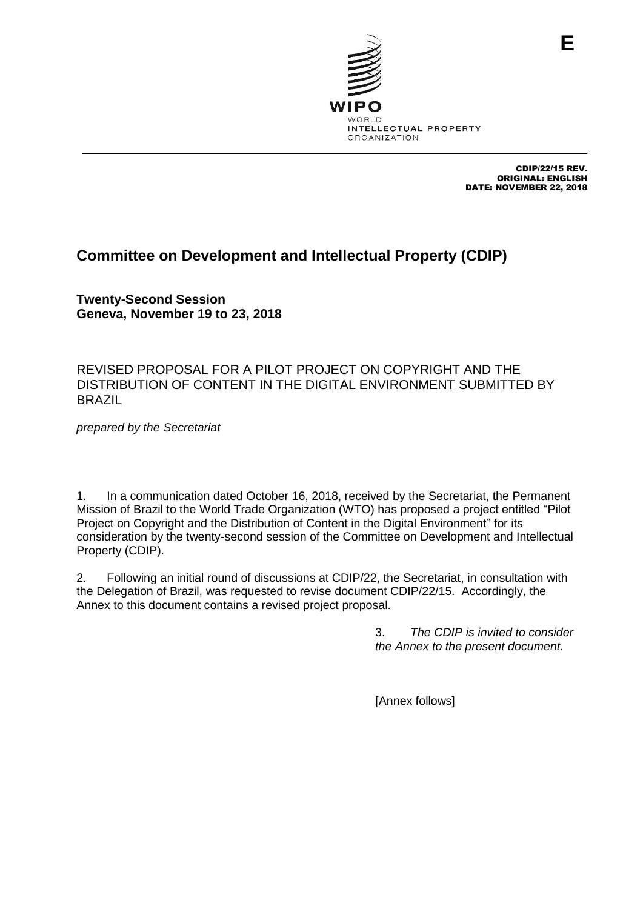

CDIP/22/15 REV. ORIGINAL: ENGLISH DATE: NOVEMBER 22, 2018

**E**

# **Committee on Development and Intellectual Property (CDIP)**

**Twenty-Second Session Geneva, November 19 to 23, 2018**

REVISED PROPOSAL FOR A PILOT PROJECT ON COPYRIGHT AND THE DISTRIBUTION OF CONTENT IN THE DIGITAL ENVIRONMENT SUBMITTED BY BRAZIL

*prepared by the Secretariat*

1. In a communication dated October 16, 2018, received by the Secretariat, the Permanent Mission of Brazil to the World Trade Organization (WTO) has proposed a project entitled "Pilot Project on Copyright and the Distribution of Content in the Digital Environment" for its consideration by the twenty-second session of the Committee on Development and Intellectual Property (CDIP).

2. Following an initial round of discussions at CDIP/22, the Secretariat, in consultation with the Delegation of Brazil, was requested to revise document CDIP/22/15. Accordingly, the Annex to this document contains a revised project proposal.

> 3. *The CDIP is invited to consider the Annex to the present document.*

[Annex follows]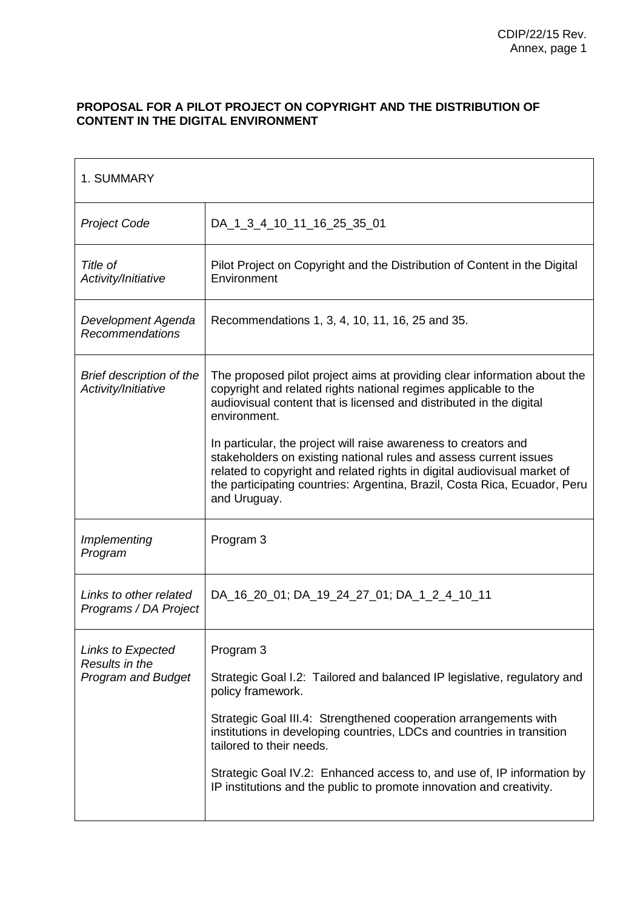#### **PROPOSAL FOR A PILOT PROJECT ON COPYRIGHT AND THE DISTRIBUTION OF CONTENT IN THE DIGITAL ENVIRONMENT**

| 1. SUMMARY                                                       |                                                                                                                                                                                                                                                                                                                                                                                                                                        |
|------------------------------------------------------------------|----------------------------------------------------------------------------------------------------------------------------------------------------------------------------------------------------------------------------------------------------------------------------------------------------------------------------------------------------------------------------------------------------------------------------------------|
| <b>Project Code</b>                                              | DA_1_3_4_10_11_16_25_35_01                                                                                                                                                                                                                                                                                                                                                                                                             |
| Title of<br>Activity/Initiative                                  | Pilot Project on Copyright and the Distribution of Content in the Digital<br>Environment                                                                                                                                                                                                                                                                                                                                               |
| Development Agenda<br>Recommendations                            | Recommendations 1, 3, 4, 10, 11, 16, 25 and 35.                                                                                                                                                                                                                                                                                                                                                                                        |
| Brief description of the<br>Activity/Initiative                  | The proposed pilot project aims at providing clear information about the<br>copyright and related rights national regimes applicable to the<br>audiovisual content that is licensed and distributed in the digital<br>environment.                                                                                                                                                                                                     |
|                                                                  | In particular, the project will raise awareness to creators and<br>stakeholders on existing national rules and assess current issues<br>related to copyright and related rights in digital audiovisual market of<br>the participating countries: Argentina, Brazil, Costa Rica, Ecuador, Peru<br>and Uruguay.                                                                                                                          |
| Implementing<br>Program                                          | Program 3                                                                                                                                                                                                                                                                                                                                                                                                                              |
| Links to other related<br>Programs / DA Project                  | DA_16_20_01; DA_19_24_27_01; DA_1_2_4_10_11                                                                                                                                                                                                                                                                                                                                                                                            |
| Links to Expected<br>Results in the<br><b>Program and Budget</b> | Program 3<br>Strategic Goal I.2: Tailored and balanced IP legislative, regulatory and<br>policy framework.<br>Strategic Goal III.4: Strengthened cooperation arrangements with<br>institutions in developing countries, LDCs and countries in transition<br>tailored to their needs.<br>Strategic Goal IV.2: Enhanced access to, and use of, IP information by<br>IP institutions and the public to promote innovation and creativity. |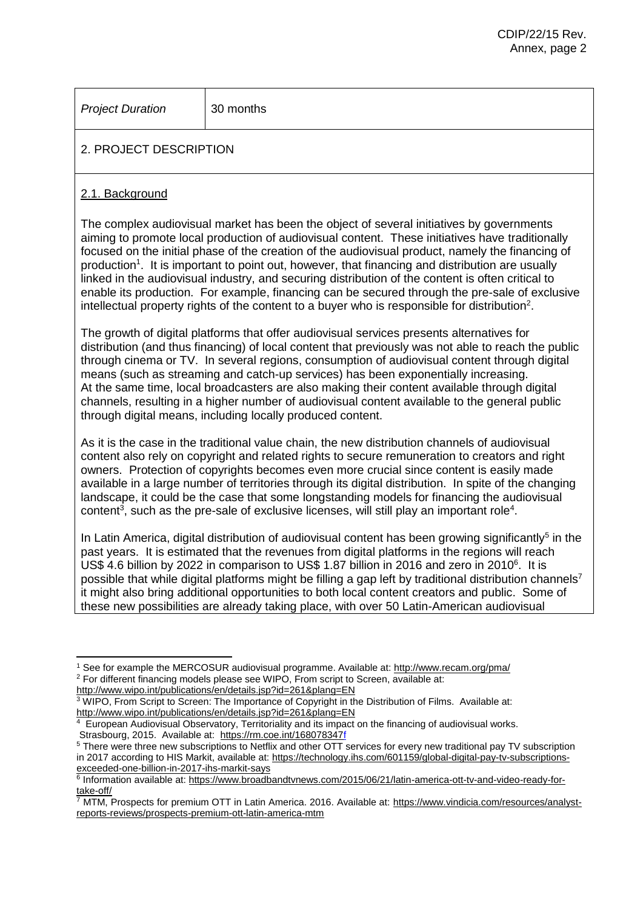*Project Duration* 30 months

## 2. PROJECT DESCRIPTION

#### 2.1. Background

 $\overline{a}$ 

The complex audiovisual market has been the object of several initiatives by governments aiming to promote local production of audiovisual content. These initiatives have traditionally focused on the initial phase of the creation of the audiovisual product, namely the financing of production<sup>1</sup>. It is important to point out, however, that financing and distribution are usually linked in the audiovisual industry, and securing distribution of the content is often critical to enable its production. For example, financing can be secured through the pre-sale of exclusive intellectual property rights of the content to a buyer who is responsible for distribution<sup>2</sup>.

The growth of digital platforms that offer audiovisual services presents alternatives for distribution (and thus financing) of local content that previously was not able to reach the public through cinema or TV. In several regions, consumption of audiovisual content through digital means (such as streaming and catch-up services) has been exponentially increasing. At the same time, local broadcasters are also making their content available through digital channels, resulting in a higher number of audiovisual content available to the general public through digital means, including locally produced content.

As it is the case in the traditional value chain, the new distribution channels of audiovisual content also rely on copyright and related rights to secure remuneration to creators and right owners. Protection of copyrights becomes even more crucial since content is easily made available in a large number of territories through its digital distribution. In spite of the changing landscape, it could be the case that some longstanding models for financing the audiovisual content<sup>3</sup>, such as the pre-sale of exclusive licenses, will still play an important role<sup>4</sup>.

In Latin America, digital distribution of audiovisual content has been growing significantly<sup>5</sup> in the past years. It is estimated that the revenues from digital platforms in the regions will reach US\$ 4.6 billion by 2022 in comparison to US\$ 1.87 billion in 2016 and zero in 2010<sup>6</sup>. It is possible that while digital platforms might be filling a gap left by traditional distribution channels<sup>7</sup> it might also bring additional opportunities to both local content creators and public. Some of these new possibilities are already taking place, with over 50 Latin-American audiovisual

<sup>&</sup>lt;sup>1</sup> See for example the MERCOSUR audiovisual programme. Available at:<http://www.recam.org/pma/> <sup>2</sup> For different financing models please see WIPO, From script to Screen, available at:

<http://www.wipo.int/publications/en/details.jsp?id=261&plang=EN> <sup>3</sup> WIPO, From Script to Screen: The Importance of Copyright in the Distribution of Films. Available at: <http://www.wipo.int/publications/en/details.jsp?id=261&plang=EN>

<sup>4</sup> European Audiovisual Observatory, Territoriality and its impact on the financing of audiovisual works. Strasbourg, 2015. Available at: <https://rm.coe.int/168078347f>

<sup>&</sup>lt;sup>5</sup> There were three new subscriptions to Netflix and other OTT services for every new traditional pay TV subscription in 2017 according to HIS Markit, available at: [https://technology.ihs.com/601159/global-digital-pay-tv-subscriptions](https://technology.ihs.com/601159/global-digital-pay-tv-subscriptions-exceeded-one-billion-in-2017-ihs-markit-says)[exceeded-one-billion-in-2017-ihs-markit-says](https://technology.ihs.com/601159/global-digital-pay-tv-subscriptions-exceeded-one-billion-in-2017-ihs-markit-says)

<sup>&</sup>lt;sup>6</sup> Information available at: [https://www.broadbandtvnews.com/2015/06/21/latin-america-ott-tv-and-video-ready-for](https://www.broadbandtvnews.com/2015/06/21/latin-america-ott-tv-and-video-ready-for-take-off/)[take-off/](https://www.broadbandtvnews.com/2015/06/21/latin-america-ott-tv-and-video-ready-for-take-off/)

<sup>7</sup> MTM, Prospects for premium OTT in Latin America. 2016. Available at: [https://www.vindicia.com/resources/analyst](https://www.vindicia.com/resources/analyst-reports-reviews/prospects-premium-ott-latin-america-mtm)[reports-reviews/prospects-premium-ott-latin-america-mtm](https://www.vindicia.com/resources/analyst-reports-reviews/prospects-premium-ott-latin-america-mtm)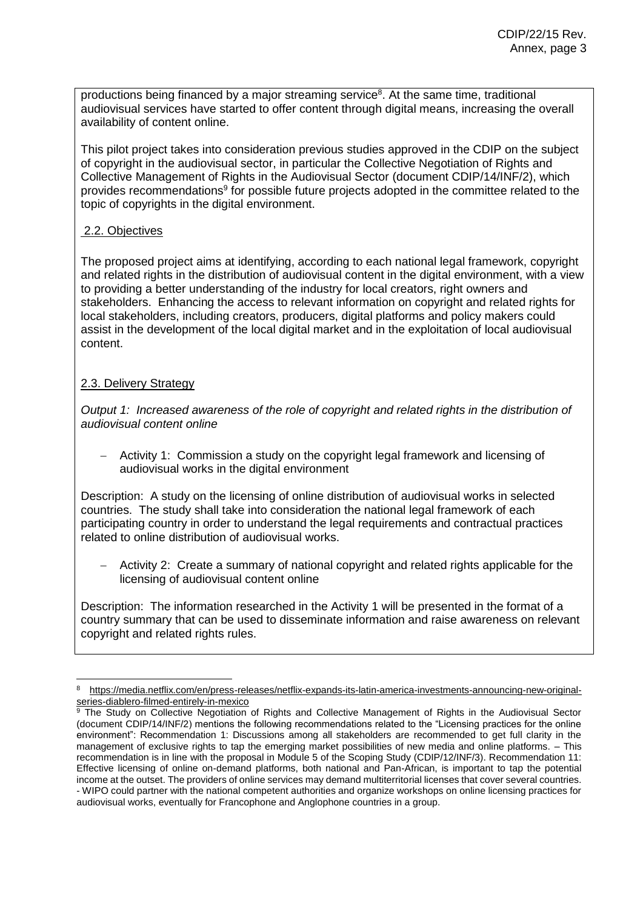productions being financed by a major streaming service<sup>8</sup>. At the same time, traditional audiovisual services have started to offer content through digital means, increasing the overall availability of content online.

This pilot project takes into consideration previous studies approved in the CDIP on the subject of copyright in the audiovisual sector, in particular the Collective Negotiation of Rights and Collective Management of Rights in the Audiovisual Sector (document CDIP/14/INF/2), which provides recommendations<sup>9</sup> for possible future projects adopted in the committee related to the topic of copyrights in the digital environment.

#### 2.2. Objectives

The proposed project aims at identifying, according to each national legal framework, copyright and related rights in the distribution of audiovisual content in the digital environment, with a view to providing a better understanding of the industry for local creators, right owners and stakeholders. Enhancing the access to relevant information on copyright and related rights for local stakeholders, including creators, producers, digital platforms and policy makers could assist in the development of the local digital market and in the exploitation of local audiovisual content.

#### 2.3. Delivery Strategy

*Output 1: Increased awareness of the role of copyright and related rights in the distribution of audiovisual content online* 

 Activity 1: Commission a study on the copyright legal framework and licensing of audiovisual works in the digital environment

Description: A study on the licensing of online distribution of audiovisual works in selected countries. The study shall take into consideration the national legal framework of each participating country in order to understand the legal requirements and contractual practices related to online distribution of audiovisual works.

 Activity 2: Create a summary of national copyright and related rights applicable for the licensing of audiovisual content online

Description: The information researched in the Activity 1 will be presented in the format of a country summary that can be used to disseminate information and raise awareness on relevant copyright and related rights rules.

 $\overline{a}$ <sup>8</sup> [https://media.netflix.com/en/press-releases/netflix-expands-its-latin-america-investments-announcing-new-original](https://media.netflix.com/en/press-releases/netflix-expands-its-latin-america-investments-announcing-new-original-series-diablero-filmed-entirely-in-mexico)[series-diablero-filmed-entirely-in-mexico](https://media.netflix.com/en/press-releases/netflix-expands-its-latin-america-investments-announcing-new-original-series-diablero-filmed-entirely-in-mexico)

<sup>&</sup>lt;sup>9</sup> The Study on Collective Negotiation of Rights and Collective Management of Rights in the Audiovisual Sector (document CDIP/14/INF/2) mentions the following recommendations related to the "Licensing practices for the online environment": Recommendation 1: Discussions among all stakeholders are recommended to get full clarity in the management of exclusive rights to tap the emerging market possibilities of new media and online platforms. – This recommendation is in line with the proposal in Module 5 of the Scoping Study (CDIP/12/INF/3). Recommendation 11: Effective licensing of online on-demand platforms, both national and Pan-African, is important to tap the potential income at the outset. The providers of online services may demand multiterritorial licenses that cover several countries. - WIPO could partner with the national competent authorities and organize workshops on online licensing practices for audiovisual works, eventually for Francophone and Anglophone countries in a group.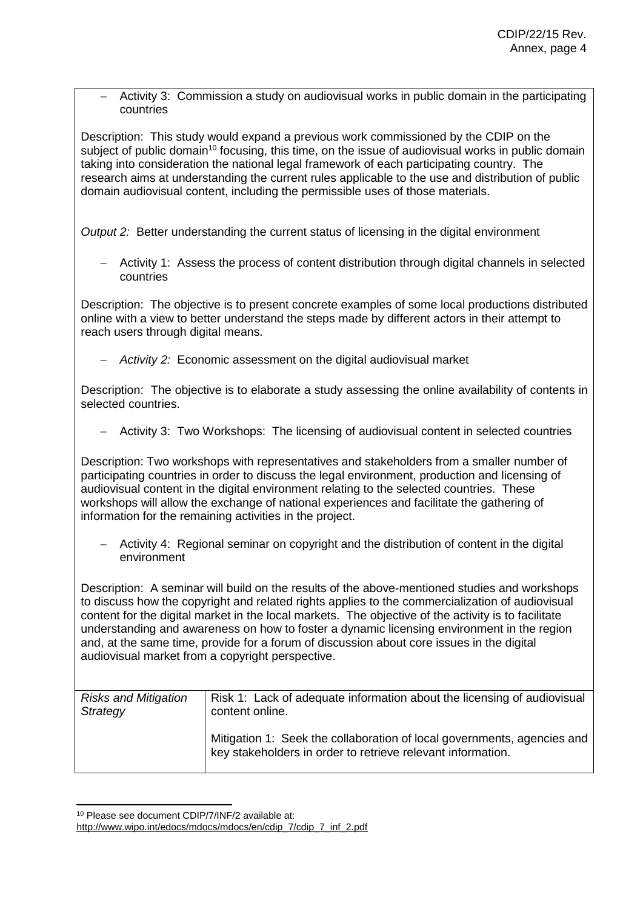Activity 3: Commission a study on audiovisual works in public domain in the participating countries

Description: This study would expand a previous work commissioned by the CDIP on the subject of public domain<sup>10</sup> focusing, this time, on the issue of audiovisual works in public domain taking into consideration the national legal framework of each participating country. The research aims at understanding the current rules applicable to the use and distribution of public domain audiovisual content, including the permissible uses of those materials.

*Output 2:* Better understanding the current status of licensing in the digital environment

 Activity 1: Assess the process of content distribution through digital channels in selected countries

Description: The objective is to present concrete examples of some local productions distributed online with a view to better understand the steps made by different actors in their attempt to reach users through digital means.

*Activity 2:* Economic assessment on the digital audiovisual market

Description: The objective is to elaborate a study assessing the online availability of contents in selected countries.

Activity 3: Two Workshops: The licensing of audiovisual content in selected countries

Description: Two workshops with representatives and stakeholders from a smaller number of participating countries in order to discuss the legal environment, production and licensing of audiovisual content in the digital environment relating to the selected countries. These workshops will allow the exchange of national experiences and facilitate the gathering of information for the remaining activities in the project.

 Activity 4: Regional seminar on copyright and the distribution of content in the digital environment

Description: A seminar will build on the results of the above-mentioned studies and workshops to discuss how the copyright and related rights applies to the commercialization of audiovisual content for the digital market in the local markets. The objective of the activity is to facilitate understanding and awareness on how to foster a dynamic licensing environment in the region and, at the same time, provide for a forum of discussion about core issues in the digital audiovisual market from a copyright perspective.

| <b>Risks and Mitigation</b><br>Strategy | Risk 1: Lack of adequate information about the licensing of audiovisual<br>content online.                                             |
|-----------------------------------------|----------------------------------------------------------------------------------------------------------------------------------------|
|                                         | Mitigation 1: Seek the collaboration of local governments, agencies and<br>key stakeholders in order to retrieve relevant information. |

 $\overline{a}$ <sup>10</sup> Please see document CDIP/7/INF/2 available at:

[http://www.wipo.int/edocs/mdocs/mdocs/en/cdip\\_7/cdip\\_7\\_inf\\_2.pdf](http://www.wipo.int/edocs/mdocs/mdocs/en/cdip_7/cdip_7_inf_2.pdf)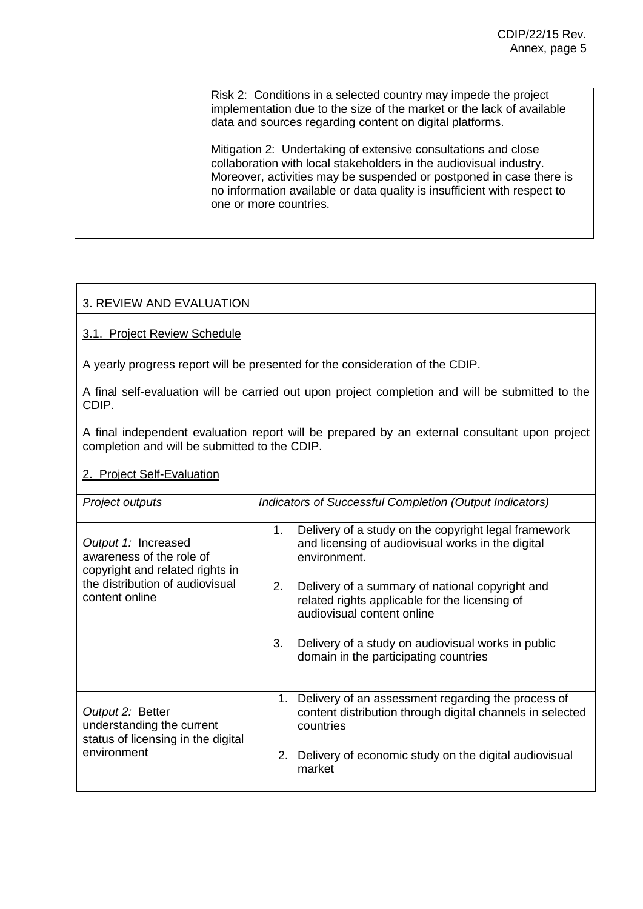| Risk 2: Conditions in a selected country may impede the project<br>implementation due to the size of the market or the lack of available<br>data and sources regarding content on digital platforms.                                                                                                              |
|-------------------------------------------------------------------------------------------------------------------------------------------------------------------------------------------------------------------------------------------------------------------------------------------------------------------|
| Mitigation 2: Undertaking of extensive consultations and close<br>collaboration with local stakeholders in the audiovisual industry.<br>Moreover, activities may be suspended or postponed in case there is<br>no information available or data quality is insufficient with respect to<br>one or more countries. |
|                                                                                                                                                                                                                                                                                                                   |

#### 3. REVIEW AND EVALUATION

3.1. Project Review Schedule

A yearly progress report will be presented for the consideration of the CDIP.

A final self-evaluation will be carried out upon project completion and will be submitted to the CDIP.

A final independent evaluation report will be prepared by an external consultant upon project completion and will be submitted to the CDIP.

### 2. Project Self-Evaluation

| Project outputs                                                                     | Indicators of Successful Completion (Output Indicators)                                                                               |  |  |  |  |  |  |
|-------------------------------------------------------------------------------------|---------------------------------------------------------------------------------------------------------------------------------------|--|--|--|--|--|--|
| Output 1: Increased<br>awareness of the role of<br>copyright and related rights in  | Delivery of a study on the copyright legal framework<br>1.<br>and licensing of audiovisual works in the digital<br>environment.       |  |  |  |  |  |  |
| the distribution of audiovisual<br>content online                                   | Delivery of a summary of national copyright and<br>2.<br>related rights applicable for the licensing of<br>audiovisual content online |  |  |  |  |  |  |
|                                                                                     | Delivery of a study on audiovisual works in public<br>3.<br>domain in the participating countries                                     |  |  |  |  |  |  |
| Output 2: Better<br>understanding the current<br>status of licensing in the digital | 1. Delivery of an assessment regarding the process of<br>content distribution through digital channels in selected<br>countries       |  |  |  |  |  |  |
| environment                                                                         | 2. Delivery of economic study on the digital audiovisual<br>market                                                                    |  |  |  |  |  |  |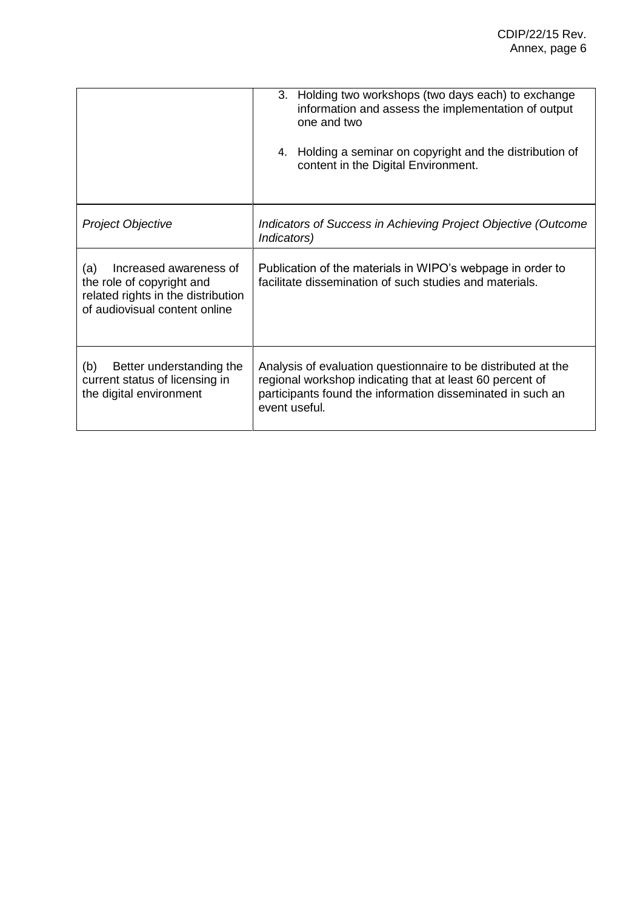|                                                                                                                                   | 3. Holding two workshops (two days each) to exchange<br>information and assess the implementation of output<br>one and two<br>4. Holding a seminar on copyright and the distribution of<br>content in the Digital Environment. |
|-----------------------------------------------------------------------------------------------------------------------------------|--------------------------------------------------------------------------------------------------------------------------------------------------------------------------------------------------------------------------------|
| Project Objective                                                                                                                 | Indicators of Success in Achieving Project Objective (Outcome<br>Indicators)                                                                                                                                                   |
| Increased awareness of<br>(a)<br>the role of copyright and<br>related rights in the distribution<br>of audiovisual content online | Publication of the materials in WIPO's webpage in order to<br>facilitate dissemination of such studies and materials.                                                                                                          |
| (b)<br>Better understanding the<br>current status of licensing in<br>the digital environment                                      | Analysis of evaluation questionnaire to be distributed at the<br>regional workshop indicating that at least 60 percent of<br>participants found the information disseminated in such an<br>event useful.                       |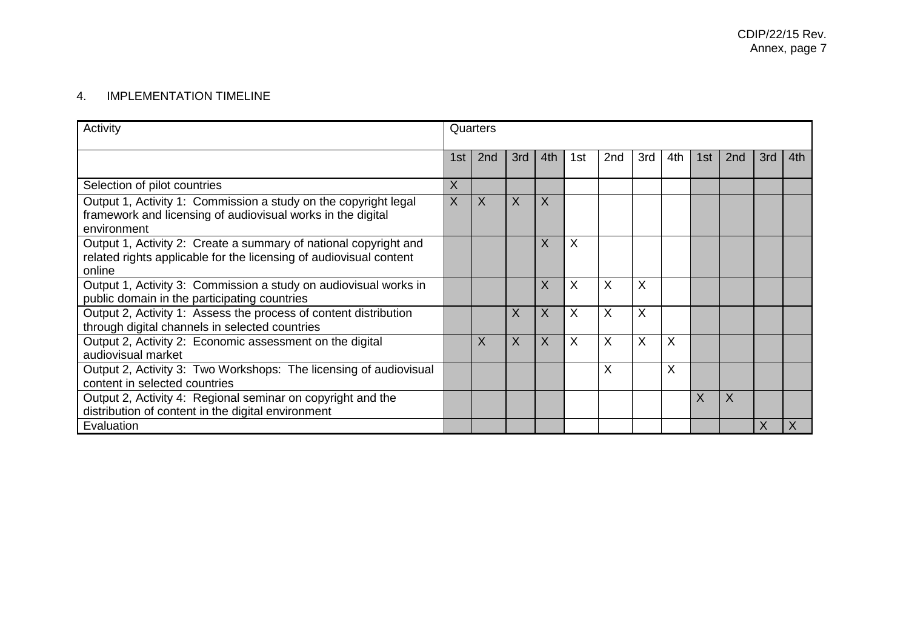## 4. IMPLEMENTATION TIMELINE

| Activity                                                                                                                                         | Quarters |                 |              |         |          |                 |     |     |     |                 |     |     |
|--------------------------------------------------------------------------------------------------------------------------------------------------|----------|-----------------|--------------|---------|----------|-----------------|-----|-----|-----|-----------------|-----|-----|
|                                                                                                                                                  | 1st      | 2 <sub>nd</sub> | 3rd          | 4th     | 1st      | 2 <sub>nd</sub> | 3rd | 4th | 1st | 2 <sub>nd</sub> | 3rd | 4th |
| Selection of pilot countries                                                                                                                     | X        |                 |              |         |          |                 |     |     |     |                 |     |     |
| Output 1, Activity 1: Commission a study on the copyright legal<br>framework and licensing of audiovisual works in the digital<br>environment    | $\sf X$  | $\sf X$         | $\sf X$      | $\sf X$ |          |                 |     |     |     |                 |     |     |
| Output 1, Activity 2: Create a summary of national copyright and<br>related rights applicable for the licensing of audiovisual content<br>online |          |                 |              | $\sf X$ | $\times$ |                 |     |     |     |                 |     |     |
| Output 1, Activity 3: Commission a study on audiovisual works in<br>public domain in the participating countries                                 |          |                 |              | $\sf X$ | X        | X               | X   |     |     |                 |     |     |
| Output 2, Activity 1: Assess the process of content distribution<br>through digital channels in selected countries                               |          |                 | X            | $\sf X$ | $\sf X$  | X               | X   |     |     |                 |     |     |
| Output 2, Activity 2: Economic assessment on the digital<br>audiovisual market                                                                   |          | X               | $\mathsf{X}$ | $\sf X$ | $\sf X$  | X               | X   | X   |     |                 |     |     |
| Output 2, Activity 3: Two Workshops: The licensing of audiovisual<br>content in selected countries                                               |          |                 |              |         |          | X               |     | X   |     |                 |     |     |
| Output 2, Activity 4: Regional seminar on copyright and the<br>distribution of content in the digital environment                                |          |                 |              |         |          |                 |     |     | X   | X               |     |     |
| Evaluation                                                                                                                                       |          |                 |              |         |          |                 |     |     |     |                 | X   |     |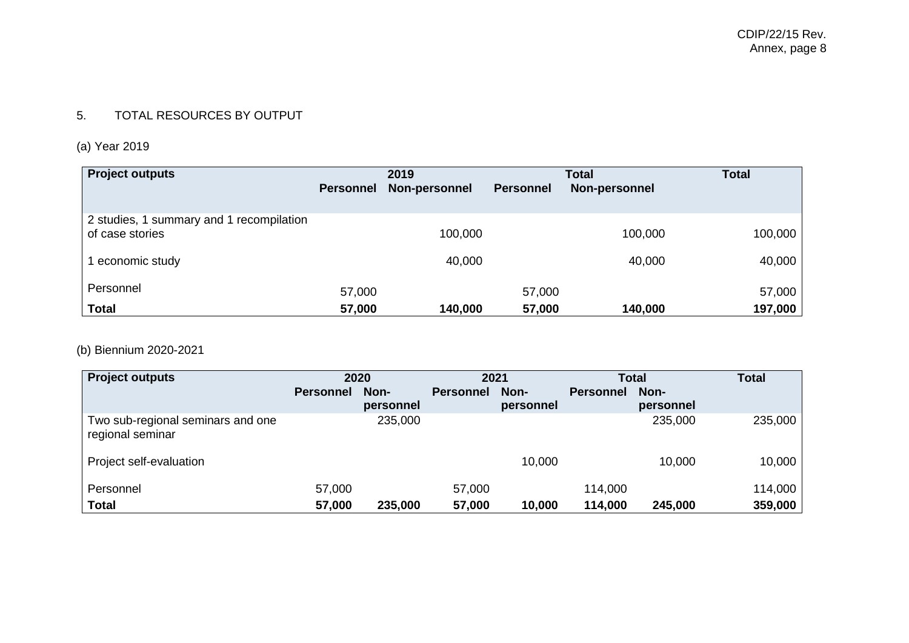## 5. TOTAL RESOURCES BY OUTPUT

# (a) Year 2019

| <b>Project outputs</b>                   |                  | 2019          |                  | <b>Total</b>  |         |
|------------------------------------------|------------------|---------------|------------------|---------------|---------|
|                                          | <b>Personnel</b> | Non-personnel | <b>Personnel</b> | Non-personnel |         |
|                                          |                  |               |                  |               |         |
| 2 studies, 1 summary and 1 recompilation |                  |               |                  |               |         |
| of case stories                          |                  | 100,000       |                  | 100,000       | 100,000 |
|                                          |                  |               |                  |               |         |
| economic study                           |                  | 40,000        |                  | 40,000        | 40,000  |
| Personnel                                |                  |               |                  |               |         |
|                                          | 57,000           |               | 57,000           |               | 57,000  |
| <b>Total</b>                             | 57,000           | 140,000       | 57,000           | 140,000       | 197,000 |

## (b) Biennium 2020-2021

| <b>Project outputs</b>                                |                  | 2020              | 2021             |                   |                  | <b>Total</b>      | <b>Total</b> |
|-------------------------------------------------------|------------------|-------------------|------------------|-------------------|------------------|-------------------|--------------|
|                                                       | <b>Personnel</b> | Non-<br>personnel | <b>Personnel</b> | Non-<br>personnel | <b>Personnel</b> | Non-<br>personnel |              |
| Two sub-regional seminars and one<br>regional seminar |                  | 235,000           |                  |                   |                  | 235,000           | 235,000      |
| Project self-evaluation                               |                  |                   |                  | 10,000            |                  | 10,000            | 10,000       |
| Personnel                                             | 57,000           |                   | 57,000           |                   | 114,000          |                   | 114,000      |
| Total                                                 | 57,000           | 235,000           | 57,000           | 10,000            | 114,000          | 245,000           | 359,000      |